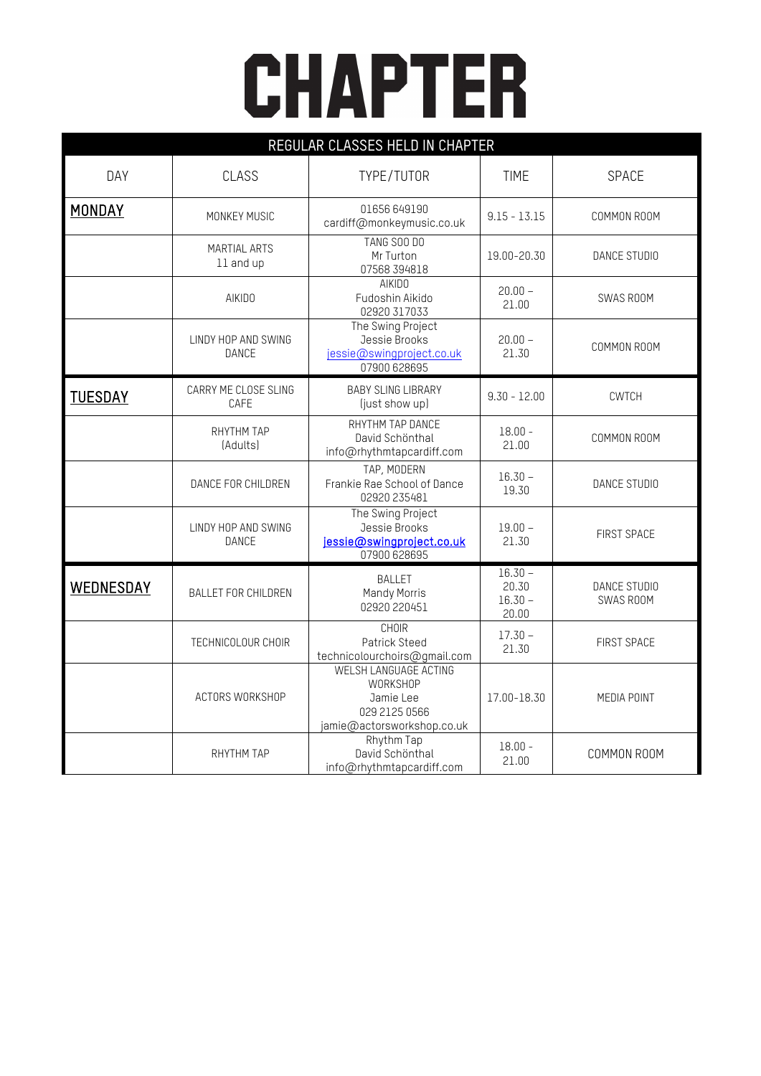## **CHAPTER**

| REGULAR CLASSES HELD IN CHAPTER |                                     |                                                                                                      |                                          |                           |  |  |  |
|---------------------------------|-------------------------------------|------------------------------------------------------------------------------------------------------|------------------------------------------|---------------------------|--|--|--|
| DAY                             | CLASS                               | TYPE/TUTOR                                                                                           | <b>TIME</b>                              | SPACE                     |  |  |  |
| MONDAY                          | MONKEY MUSIC                        | 01656 649190<br>cardiff@monkeymusic.co.uk                                                            | $9.15 - 13.15$                           | COMMON ROOM               |  |  |  |
|                                 | <b>MARTIAL ARTS</b><br>11 and up    | <b>TANG SOO DO</b><br>Mr Turton<br>07568 394818                                                      | 19.00-20.30                              | DANCE STUDIO              |  |  |  |
|                                 | AIKID0                              | <b>AIKIDO</b><br>Fudoshin Aikido<br>02920 317033                                                     | $20.00 -$<br>21.00                       | SWAS ROOM                 |  |  |  |
|                                 | LINDY HOP AND SWING<br>DANCE        | The Swing Project<br>Jessie Brooks<br>jessie@swingproject.co.uk<br>07900 628695                      | $20.00 -$<br>21.30                       | COMMON ROOM               |  |  |  |
| <b>TUESDAY</b>                  | CARRY ME CLOSE SLING<br>CAFE        | <b>BABY SLING LIBRARY</b><br>(just show up)                                                          | $9.30 - 12.00$                           | <b>CWTCH</b>              |  |  |  |
|                                 | RHYTHM TAP<br>(Adults)              | RHYTHM TAP DANCE<br>David Schönthal<br>info@rhythmtapcardiff.com                                     | $18.00 -$<br>21.00                       | COMMON ROOM               |  |  |  |
|                                 | DANCE FOR CHILDREN                  | TAP, MODERN<br>Frankie Rae School of Dance<br>02920 235481                                           | $16.30 -$<br>19.30                       | DANCE STUDIO              |  |  |  |
|                                 | LINDY HOP AND SWING<br><b>DANCE</b> | The Swing Project<br>Jessie Brooks<br>jessie@swingproject.co.uk<br>07900 628695                      | $19.00 -$<br>21.30                       | FIRST SPACE               |  |  |  |
| WEDNESDAY                       | <b>BALLET FOR CHILDREN</b>          | <b>BALLET</b><br>Mandy Morris<br>02920 220451                                                        | $16.30 -$<br>20.30<br>$16.30 -$<br>20.00 | DANCE STUDIO<br>SWAS ROOM |  |  |  |
|                                 | TECHNICOLOUR CHOIR                  | <b>CHOIR</b><br>Patrick Steed<br>technicolourchoirs@gmail.com                                        | $17.30 -$<br>21.30                       | FIRST SPACE               |  |  |  |
|                                 | ACTORS WORKSHOP                     | WELSH LANGUAGE ACTING<br><b>WORKSHOP</b><br>Jamie Lee<br>029 2125 0566<br>jamie@actorsworkshop.co.uk | 17.00-18.30                              | MEDIA POINT               |  |  |  |
|                                 | RHYTHM TAP                          | Rhythm Tap<br>David Schönthal<br>info@rhythmtapcardiff.com                                           | $18.00 -$<br>21.00                       | COMMON ROOM               |  |  |  |